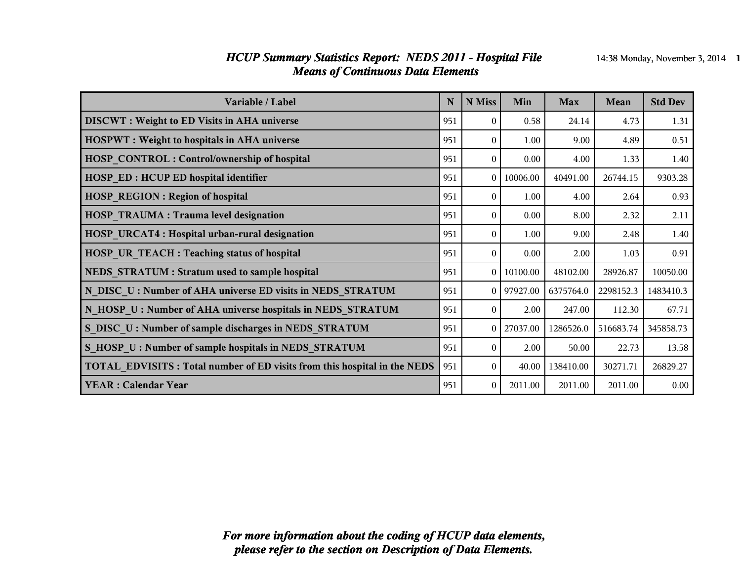#### *HCUP Summary Statistics Report: NEDS 2011 - Hospital File* 14:38 Monday, November 3, 2014 1 *Means of Continuous Data Elements*

| Variable / Label                                                                | N   | N Miss       | Min      | <b>Max</b> | Mean      | <b>Std Dev</b> |
|---------------------------------------------------------------------------------|-----|--------------|----------|------------|-----------|----------------|
| <b>DISCWT</b> : Weight to ED Visits in AHA universe                             | 951 | $\Omega$     | 0.58     | 24.14      | 4.73      | 1.31           |
| <b>HOSPWT</b> : Weight to hospitals in AHA universe                             | 951 | $\theta$     | 1.00     | 9.00       | 4.89      | 0.51           |
| <b>HOSP CONTROL: Control/ownership of hospital</b>                              | 951 | $\theta$     | 0.00     | 4.00       | 1.33      | 1.40           |
| <b>HOSP ED: HCUP ED hospital identifier</b>                                     | 951 | $\theta$     | 10006.00 | 40491.00   | 26744.15  | 9303.28        |
| <b>HOSP REGION: Region of hospital</b>                                          | 951 | $\theta$     | 1.00     | 4.00       | 2.64      | 0.93           |
| <b>HOSP TRAUMA: Trauma level designation</b>                                    | 951 | $\theta$     | 0.00     | 8.00       | 2.32      | 2.11           |
| <b>HOSP URCAT4: Hospital urban-rural designation</b>                            | 951 | $\Omega$     | 1.00     | 9.00       | 2.48      | 1.40           |
| <b>HOSP UR TEACH : Teaching status of hospital</b>                              | 951 | $\theta$     | 0.00     | 2.00       | 1.03      | 0.91           |
| NEDS STRATUM : Stratum used to sample hospital                                  | 951 | $\theta$     | 10100.00 | 48102.00   | 28926.87  | 10050.00       |
| N DISC U: Number of AHA universe ED visits in NEDS STRATUM                      | 951 | $\theta$     | 97927.00 | 6375764.0  | 2298152.3 | 1483410.3      |
| N HOSP U: Number of AHA universe hospitals in NEDS STRATUM                      | 951 | $\theta$     | 2.00     | 247.00     | 112.30    | 67.71          |
| S DISC U: Number of sample discharges in NEDS STRATUM                           | 951 | $\theta$     | 27037.00 | 1286526.0  | 516683.74 | 345858.73      |
| S HOSP U: Number of sample hospitals in NEDS STRATUM                            | 951 | $\Omega$     | 2.00     | 50.00      | 22.73     | 13.58          |
| <b>TOTAL EDVISITS: Total number of ED visits from this hospital in the NEDS</b> | 951 | $\mathbf{0}$ | 40.00    | 138410.00  | 30271.71  | 26829.27       |
| <b>YEAR: Calendar Year</b>                                                      | 951 | $\theta$     | 2011.00  | 2011.00    | 2011.00   | 0.00           |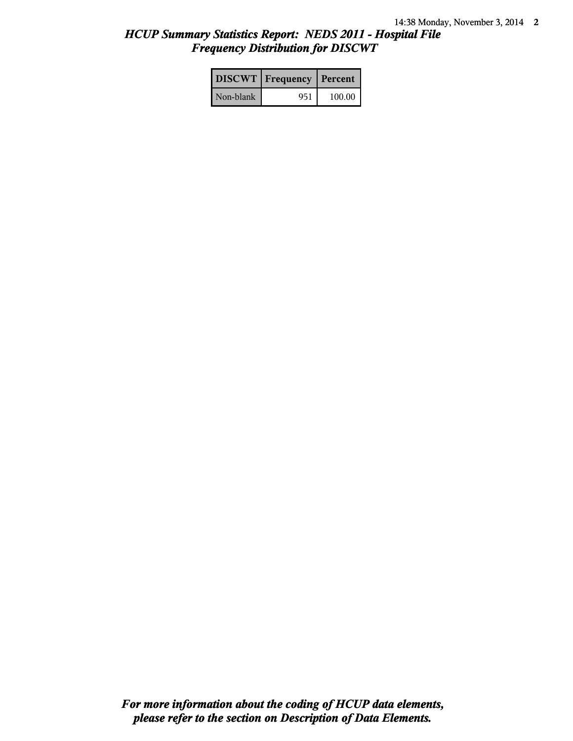# *HCUP Summary Statistics Report: NEDS 2011 - Hospital File Frequency Distribution for DISCWT*

|           | DISCWT   Frequency   Percent |        |
|-----------|------------------------------|--------|
| Non-blank | 951                          | 100.00 |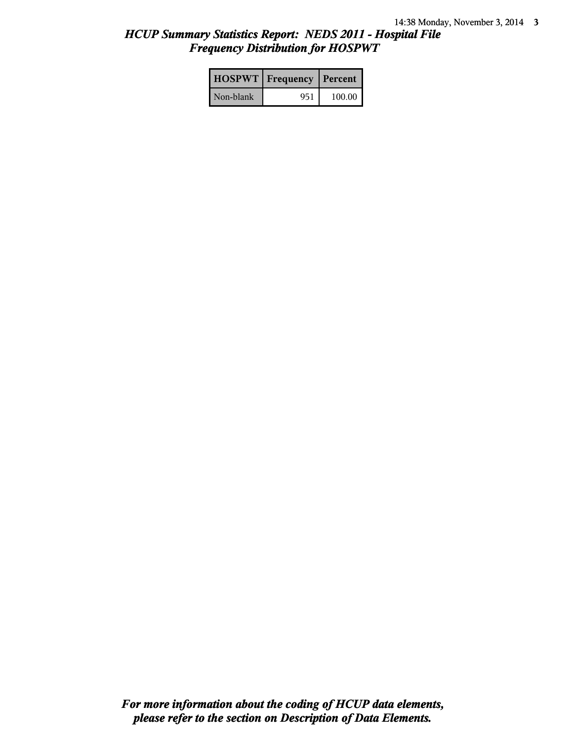# *HCUP Summary Statistics Report: NEDS 2011 - Hospital File Frequency Distribution for HOSPWT*

|           | <b>HOSPWT</b>   Frequency   Percent |        |
|-----------|-------------------------------------|--------|
| Non-blank | 951                                 | 100.00 |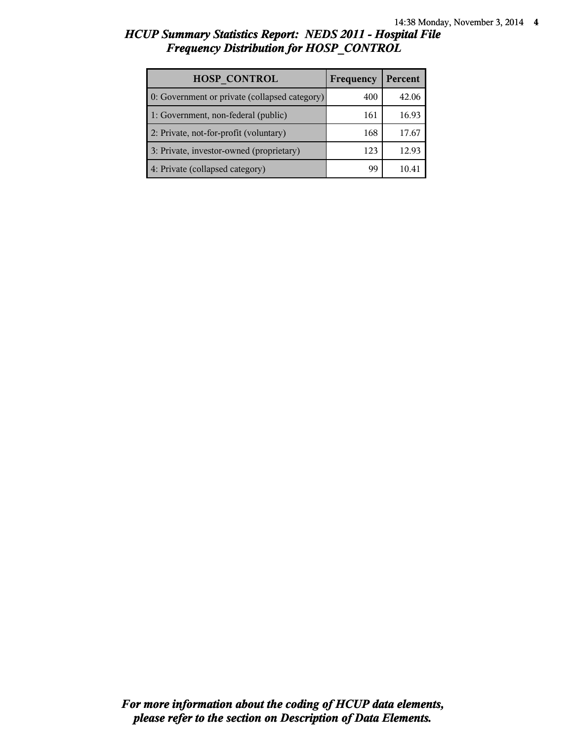## *HCUP Summary Statistics Report: NEDS 2011 - Hospital File Frequency Distribution for HOSP\_CONTROL*

| <b>HOSP CONTROL</b>                           | Frequency | Percent |
|-----------------------------------------------|-----------|---------|
| 0: Government or private (collapsed category) | 400       | 42.06   |
| 1: Government, non-federal (public)           | 161       | 16.93   |
| 2: Private, not-for-profit (voluntary)        | 168       | 17.67   |
| 3: Private, investor-owned (proprietary)      | 123       | 12.93   |
| 4: Private (collapsed category)               | gg        |         |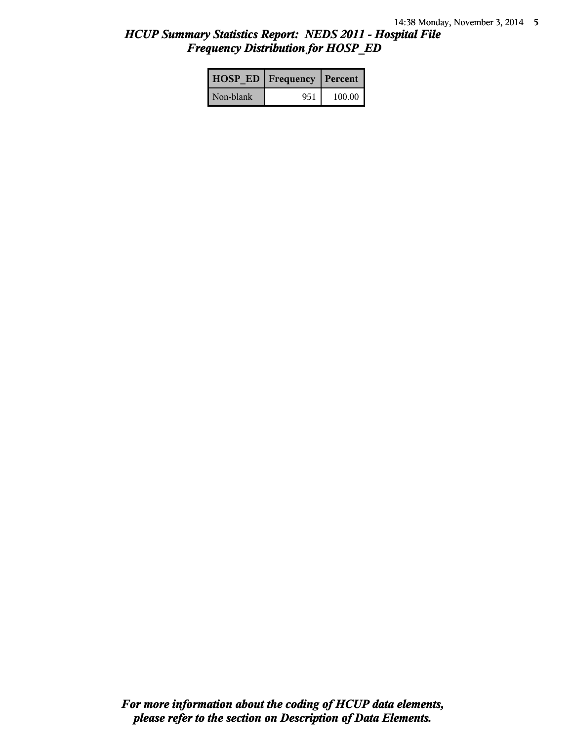# *HCUP Summary Statistics Report: NEDS 2011 - Hospital File Frequency Distribution for HOSP\_ED*

|           | <b>HOSP ED   Frequency   Percent  </b> |          |
|-----------|----------------------------------------|----------|
| Non-blank | 951                                    | $100.00$ |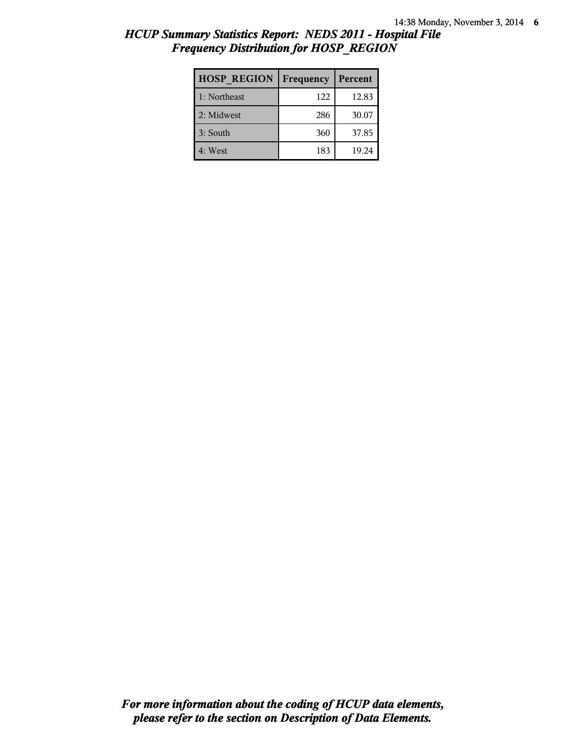## *HCUP Summary Statistics Report: NEDS 2011 - Hospital File Frequency Distribution for HOSP\_REGION*

| <b>HOSP REGION</b> | Frequency | Percent |
|--------------------|-----------|---------|
| 1: Northeast       | 122       | 12.83   |
| 2: Midwest         | 286       | 30.07   |
| 3: South           | 360       | 37.85   |
| 4: West            | 183       | 19.24   |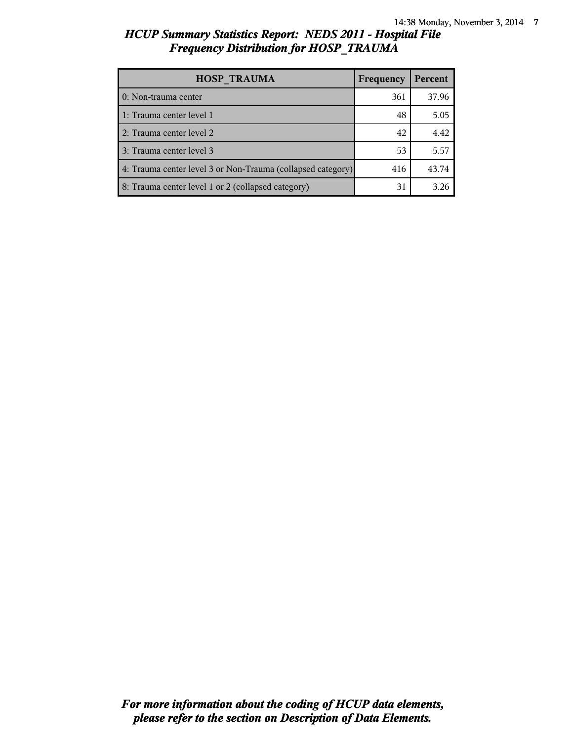## *HCUP Summary Statistics Report: NEDS 2011 - Hospital File Frequency Distribution for HOSP\_TRAUMA*

| <b>HOSP TRAUMA</b>                                          | Frequency | Percent |
|-------------------------------------------------------------|-----------|---------|
| 0: Non-trauma center                                        | 361       | 37.96   |
| 1: Trauma center level 1                                    | 48        | 5.05    |
| 2: Trauma center level 2                                    | 42        | 4.42    |
| 3: Trauma center level 3                                    | 53        | 5.57    |
| 4: Trauma center level 3 or Non-Trauma (collapsed category) | 416       | 43.74   |
| 8: Trauma center level 1 or 2 (collapsed category)          | 31        | 3.26    |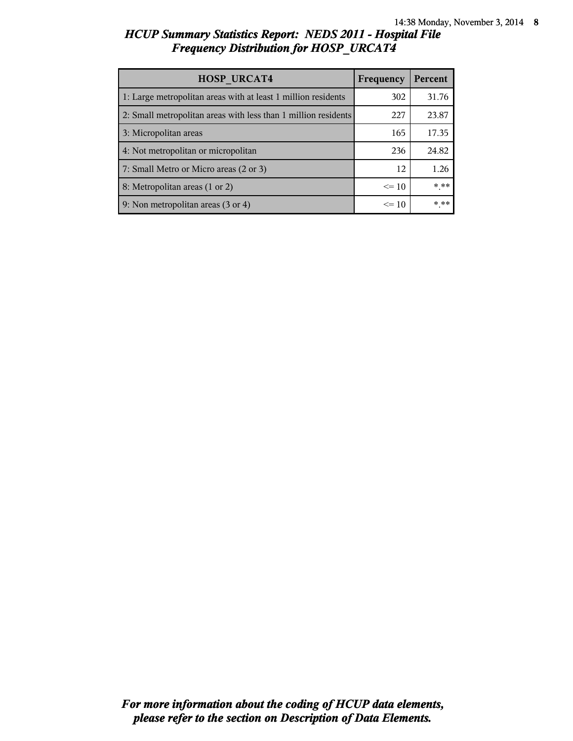# *HCUP Summary Statistics Report: NEDS 2011 - Hospital File Frequency Distribution for HOSP\_URCAT4*

| <b>HOSP URCAT4</b>                                             | Frequency | Percent |
|----------------------------------------------------------------|-----------|---------|
| 1: Large metropolitan areas with at least 1 million residents  | 302       | 31.76   |
| 2: Small metropolitan areas with less than 1 million residents | 227       | 23.87   |
| 3: Micropolitan areas                                          | 165       | 17.35   |
| 4: Not metropolitan or micropolitan                            | 236       | 24.82   |
| 7: Small Metro or Micro areas (2 or 3)                         | 12        | 1.26    |
| 8: Metropolitan areas (1 or 2)                                 | $\leq$ 10 | * **    |
| 9: Non metropolitan areas (3 or 4)                             | $\leq$ 10 | * **    |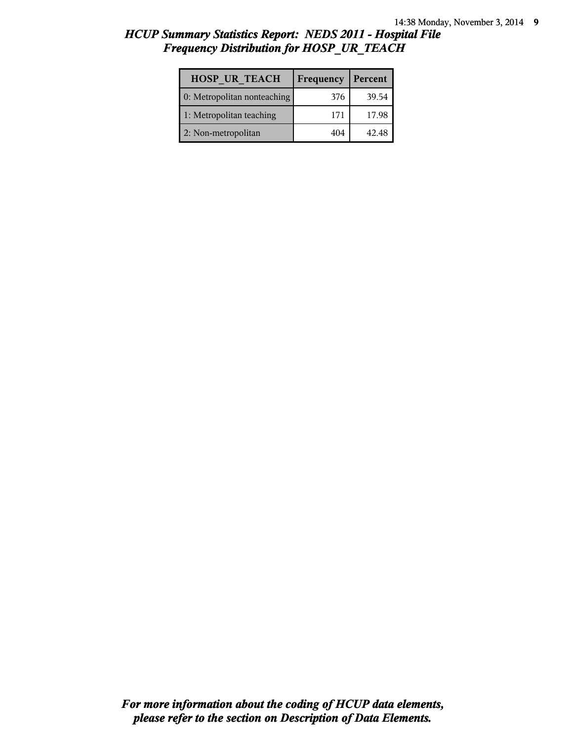## *HCUP Summary Statistics Report: NEDS 2011 - Hospital File Frequency Distribution for HOSP\_UR\_TEACH*

| <b>HOSP UR TEACH</b>        | Frequency | Percent |
|-----------------------------|-----------|---------|
| 0: Metropolitan nonteaching | 376       | 39.54   |
| 1: Metropolitan teaching    | 171       | 17.98   |
| 2: Non-metropolitan         | 404       | 42.48   |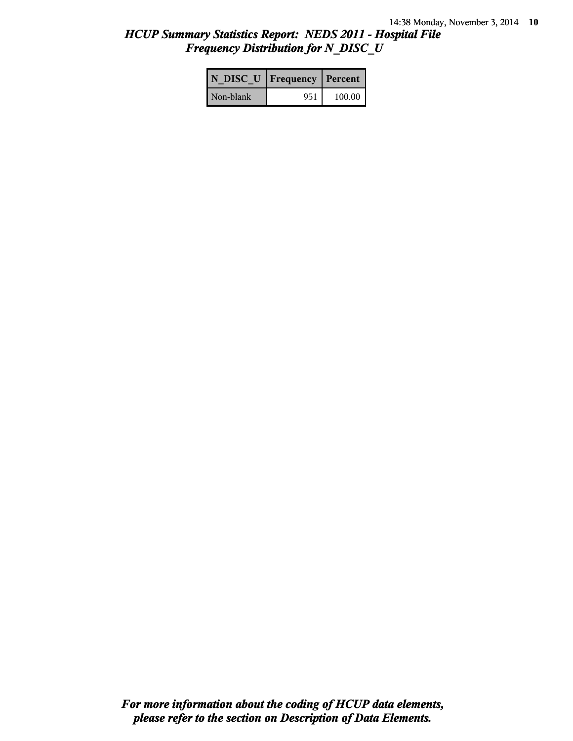## *HCUP Summary Statistics Report: NEDS 2011 - Hospital File Frequency Distribution for N\_DISC\_U*

|           | N DISC U   Frequency   Percent |        |
|-----------|--------------------------------|--------|
| Non-blank | 951                            | 100.00 |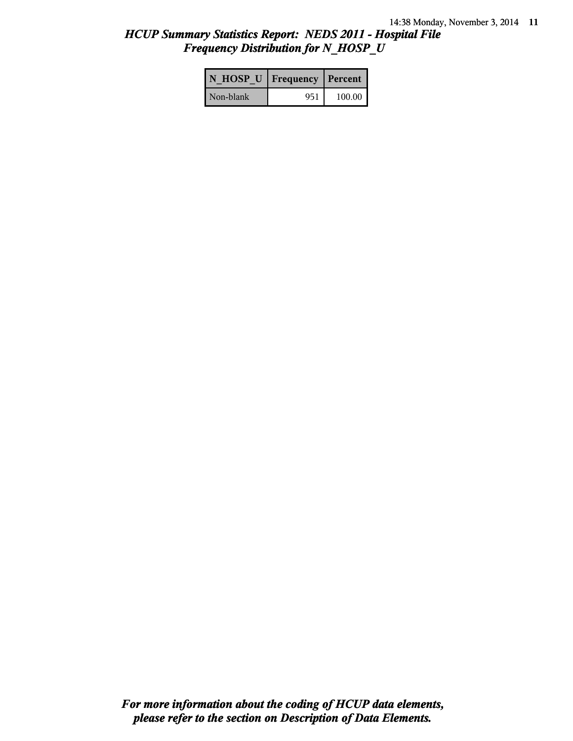## *HCUP Summary Statistics Report: NEDS 2011 - Hospital File Frequency Distribution for N\_HOSP\_U*

| N HOSP U   Frequency   Percent |     |        |
|--------------------------------|-----|--------|
| Non-blank                      | 951 | 100.00 |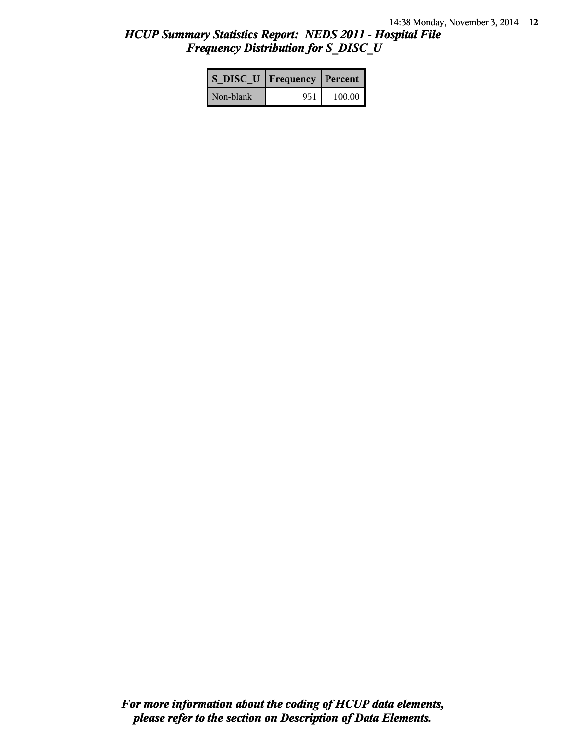## *HCUP Summary Statistics Report: NEDS 2011 - Hospital File Frequency Distribution for S\_DISC\_U*

| S DISC U   Frequency   Percent |     |          |
|--------------------------------|-----|----------|
| Non-blank                      | 951 | $100.00$ |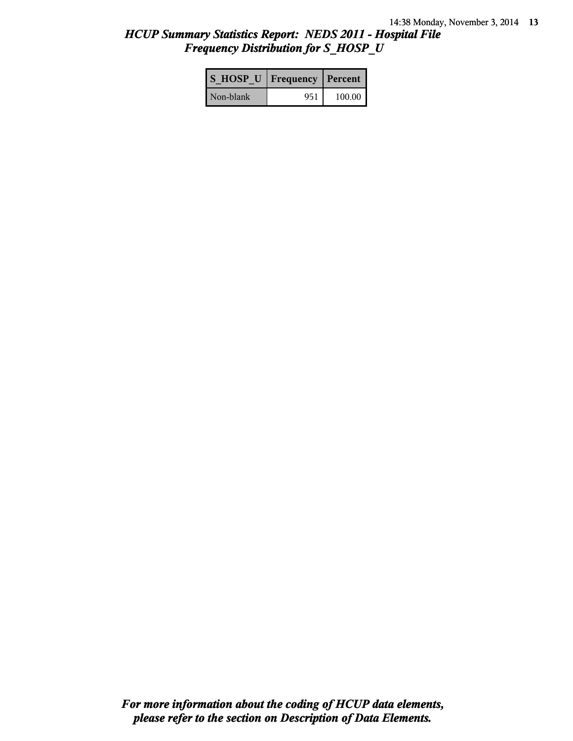## *HCUP Summary Statistics Report: NEDS 2011 - Hospital File Frequency Distribution for S\_HOSP\_U*

| S HOSP U Frequency   Percent |     |          |
|------------------------------|-----|----------|
| Non-blank                    | 951 | $100.00$ |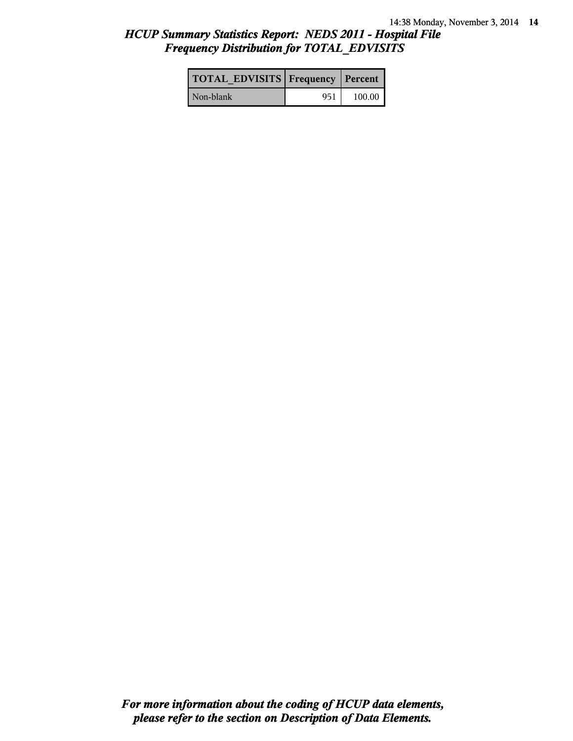## *HCUP Summary Statistics Report: NEDS 2011 - Hospital File Frequency Distribution for TOTAL\_EDVISITS*

| <b>TOTAL EDVISITS Frequency Percent</b> |     |        |
|-----------------------------------------|-----|--------|
| Non-blank                               | 951 | 100.00 |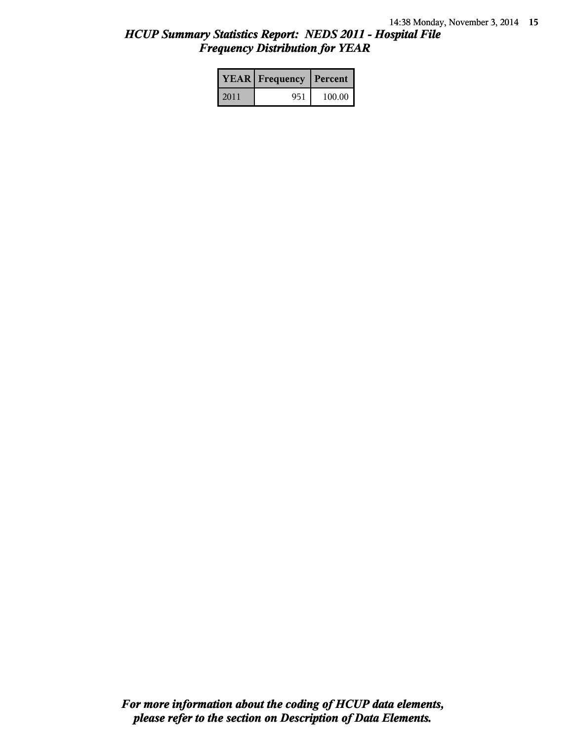## *HCUP Summary Statistics Report: NEDS 2011 - Hospital File Frequency Distribution for YEAR*

|      | <b>YEAR</b> Frequency | Percent |  |
|------|-----------------------|---------|--|
| 2011 | 951                   | 100.00  |  |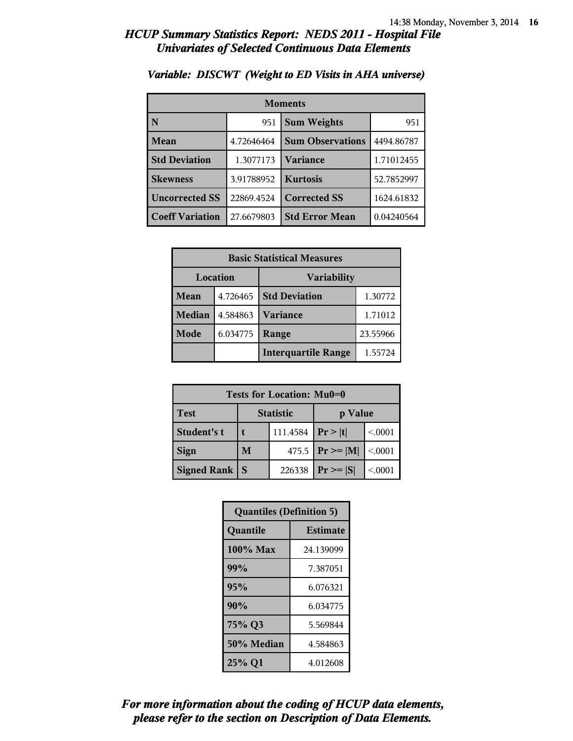| <b>Moments</b>         |            |                         |            |  |
|------------------------|------------|-------------------------|------------|--|
| N                      | 951        | <b>Sum Weights</b>      | 951        |  |
| Mean                   | 4.72646464 | <b>Sum Observations</b> | 4494.86787 |  |
| <b>Std Deviation</b>   | 1.3077173  | Variance                | 1.71012455 |  |
| <b>Skewness</b>        | 3.91788952 | <b>Kurtosis</b>         | 52.7852997 |  |
| <b>Uncorrected SS</b>  | 22869.4524 | <b>Corrected SS</b>     | 1624.61832 |  |
| <b>Coeff Variation</b> | 27.6679803 | <b>Std Error Mean</b>   | 0.04240564 |  |

#### *Variable: DISCWT (Weight to ED Visits in AHA universe)*

| <b>Basic Statistical Measures</b> |          |                            |          |
|-----------------------------------|----------|----------------------------|----------|
| Location                          |          | <b>Variability</b>         |          |
| Mean                              | 4.726465 | <b>Std Deviation</b>       | 1.30772  |
| <b>Median</b>                     | 4.584863 | <b>Variance</b>            | 1.71012  |
| Mode                              | 6.034775 | Range                      | 23.55966 |
|                                   |          | <b>Interquartile Range</b> | 1.55724  |

| Tests for Location: Mu0=0 |                             |        |                     |         |
|---------------------------|-----------------------------|--------|---------------------|---------|
| <b>Test</b>               | <b>Statistic</b><br>p Value |        |                     |         |
| Student's t               | 111.4584                    |        | Pr >  t             | < 0.001 |
| <b>Sign</b>               | M                           |        | 475.5 $ Pr \ge  M $ | < 0.001 |
| <b>Signed Rank</b>        | <b>S</b>                    | 226338 | $Pr \geq  S $       | < 0001  |

| <b>Quantiles (Definition 5)</b> |                 |  |
|---------------------------------|-----------------|--|
| Quantile                        | <b>Estimate</b> |  |
| 100% Max                        | 24.139099       |  |
| 99%                             | 7.387051        |  |
| 95%                             | 6.076321        |  |
| 90%                             | 6.034775        |  |
| 75% Q3                          | 5.569844        |  |
| 50% Median                      | 4.584863        |  |
| 25% Q1                          | 4.012608        |  |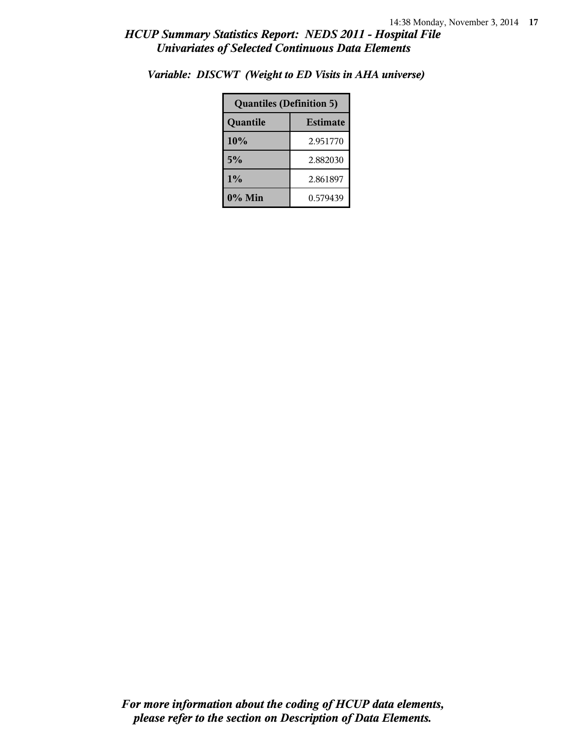| <b>Quantiles (Definition 5)</b> |          |  |
|---------------------------------|----------|--|
| <b>Estimate</b><br>Quantile     |          |  |
| 10%                             | 2.951770 |  |
| 5%                              | 2.882030 |  |
| 1%                              | 2.861897 |  |
| $0\%$ Min<br>0.579439           |          |  |

*Variable: DISCWT (Weight to ED Visits in AHA universe)*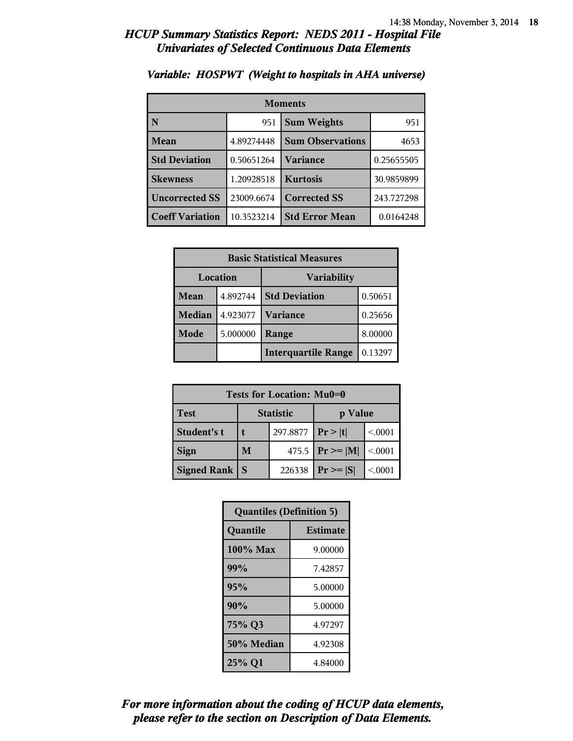| <b>Moments</b>         |            |                         |            |
|------------------------|------------|-------------------------|------------|
| N                      | 951        | <b>Sum Weights</b>      | 951        |
| Mean                   | 4.89274448 | <b>Sum Observations</b> | 4653       |
| <b>Std Deviation</b>   | 0.50651264 | Variance                | 0.25655505 |
| <b>Skewness</b>        | 1.20928518 | <b>Kurtosis</b>         | 30.9859899 |
| <b>Uncorrected SS</b>  | 23009.6674 | <b>Corrected SS</b>     | 243.727298 |
| <b>Coeff Variation</b> | 10.3523214 | <b>Std Error Mean</b>   | 0.0164248  |

#### *Variable: HOSPWT (Weight to hospitals in AHA universe)*

| <b>Basic Statistical Measures</b> |          |                            |         |
|-----------------------------------|----------|----------------------------|---------|
| Location                          |          | Variability                |         |
| <b>Mean</b>                       | 4.892744 | <b>Std Deviation</b>       | 0.50651 |
| <b>Median</b>                     | 4.923077 | <b>Variance</b>            | 0.25656 |
| Mode                              | 5.000000 | Range                      | 8.00000 |
|                                   |          | <b>Interquartile Range</b> | 0.13297 |

| Tests for Location: Mu0=0 |   |                  |                     |         |
|---------------------------|---|------------------|---------------------|---------|
| <b>Test</b>               |   | <b>Statistic</b> | p Value             |         |
| Student's t               |   | 297.8877         | Pr >  t             | < 0001  |
| <b>Sign</b>               | M |                  | 475.5 $ Pr \ge  M $ | < 0.001 |
| <b>Signed Rank</b>        | S | 226338           | $Pr \geq  S $       | < 0001  |

| <b>Quantiles (Definition 5)</b> |                 |  |
|---------------------------------|-----------------|--|
| Quantile                        | <b>Estimate</b> |  |
| $100\%$ Max                     | 9.00000         |  |
| 99%                             | 7.42857         |  |
| 95%                             | 5.00000         |  |
| 90%                             | 5.00000         |  |
| 75% Q3                          | 4.97297         |  |
| 50% Median                      | 4.92308         |  |
| 25% Q1                          | 4.84000         |  |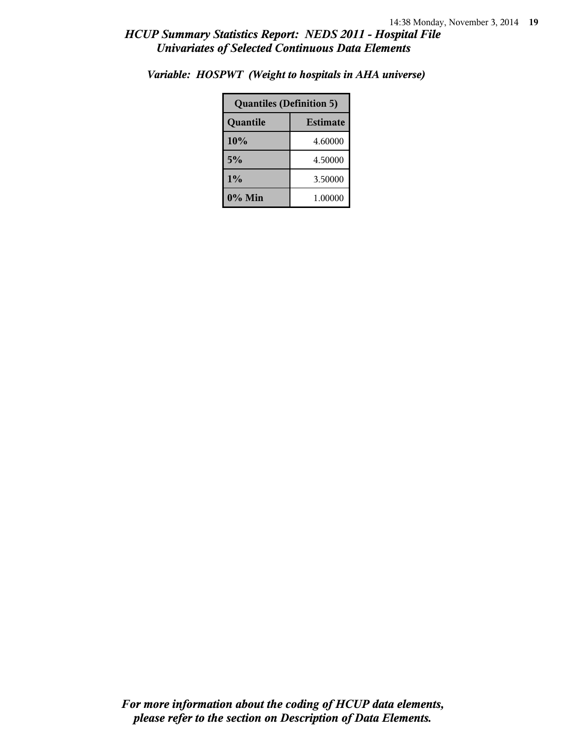| <b>Quantiles (Definition 5)</b> |         |  |
|---------------------------------|---------|--|
| <b>Estimate</b><br>Quantile     |         |  |
| 10%<br>4.60000                  |         |  |
| 5%<br>4.50000                   |         |  |
| 1%                              | 3.50000 |  |
| $0\%$ Min                       | 1.00000 |  |

*Variable: HOSPWT (Weight to hospitals in AHA universe)*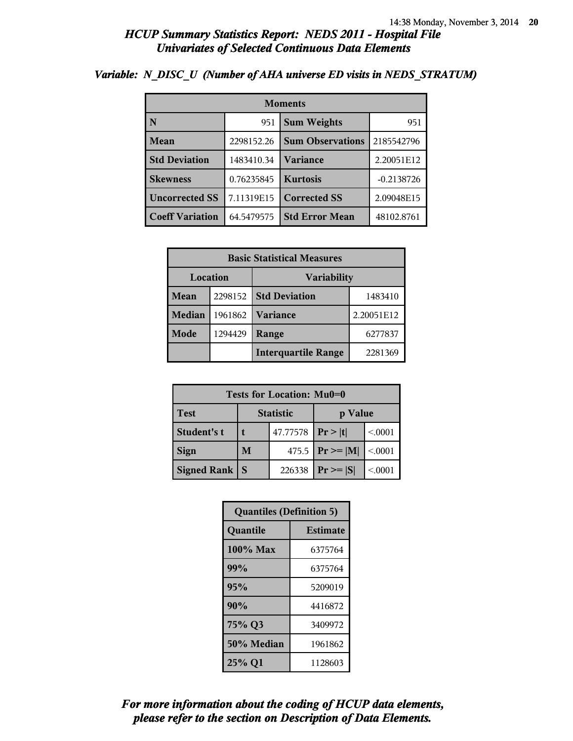| <b>Moments</b>         |            |                         |              |  |
|------------------------|------------|-------------------------|--------------|--|
| N                      | 951        | <b>Sum Weights</b>      | 951          |  |
| Mean                   | 2298152.26 | <b>Sum Observations</b> | 2185542796   |  |
| <b>Std Deviation</b>   | 1483410.34 | <b>Variance</b>         | 2.20051E12   |  |
| <b>Skewness</b>        | 0.76235845 | <b>Kurtosis</b>         | $-0.2138726$ |  |
| <b>Uncorrected SS</b>  | 7.11319E15 | <b>Corrected SS</b>     | 2.09048E15   |  |
| <b>Coeff Variation</b> | 64.5479575 | <b>Std Error Mean</b>   | 48102.8761   |  |

#### *Variable: N\_DISC\_U (Number of AHA universe ED visits in NEDS\_STRATUM)*

| <b>Basic Statistical Measures</b> |         |                            |            |  |
|-----------------------------------|---------|----------------------------|------------|--|
| <b>Location</b><br>Variability    |         |                            |            |  |
| Mean                              | 2298152 | <b>Std Deviation</b>       | 1483410    |  |
| <b>Median</b>                     | 1961862 | Variance                   | 2.20051E12 |  |
| <b>Mode</b>                       | 1294429 | Range                      | 6277837    |  |
|                                   |         | <b>Interquartile Range</b> | 2281369    |  |

| Tests for Location: Mu0=0 |                             |          |                     |         |  |
|---------------------------|-----------------------------|----------|---------------------|---------|--|
| <b>Test</b>               | <b>Statistic</b><br>p Value |          |                     |         |  |
| Student's t               |                             | 47.77578 | Pr >  t             | < 0001  |  |
| <b>Sign</b>               | M                           |          | 475.5 $ Pr \ge  M $ | < 0.001 |  |
| <b>Signed Rank</b>        | $Pr \geq  S $               | < 0001   |                     |         |  |

| <b>Quantiles (Definition 5)</b> |                 |  |
|---------------------------------|-----------------|--|
| Quantile                        | <b>Estimate</b> |  |
| 100% Max                        | 6375764         |  |
| 99%                             | 6375764         |  |
| 95%                             | 5209019         |  |
| 90%                             | 4416872         |  |
| 75% Q3                          | 3409972         |  |
| 50% Median<br>1961862           |                 |  |
| 25% Q1                          | 1128603         |  |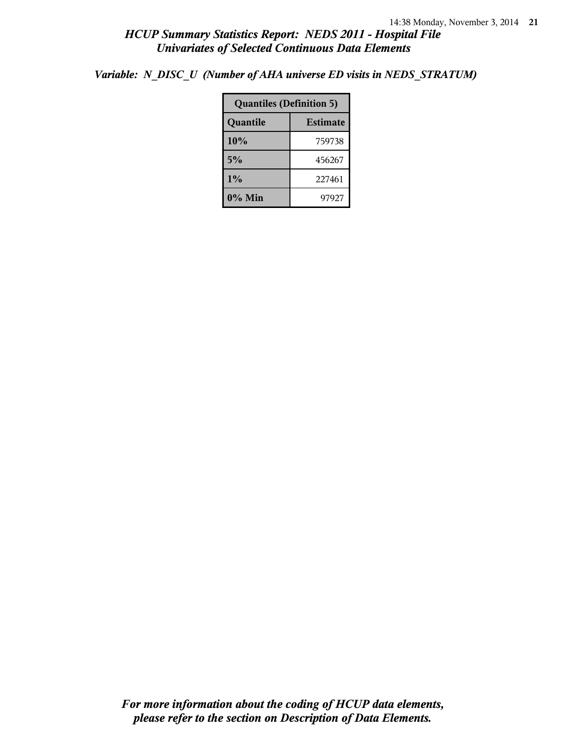*Variable: N\_DISC\_U (Number of AHA universe ED visits in NEDS\_STRATUM)*

| <b>Quantiles (Definition 5)</b> |        |  |
|---------------------------------|--------|--|
| Quantile<br><b>Estimate</b>     |        |  |
| 10%                             | 759738 |  |
| 5%                              | 456267 |  |
| $1\%$                           | 227461 |  |
| $0\%$ Min                       | 97927  |  |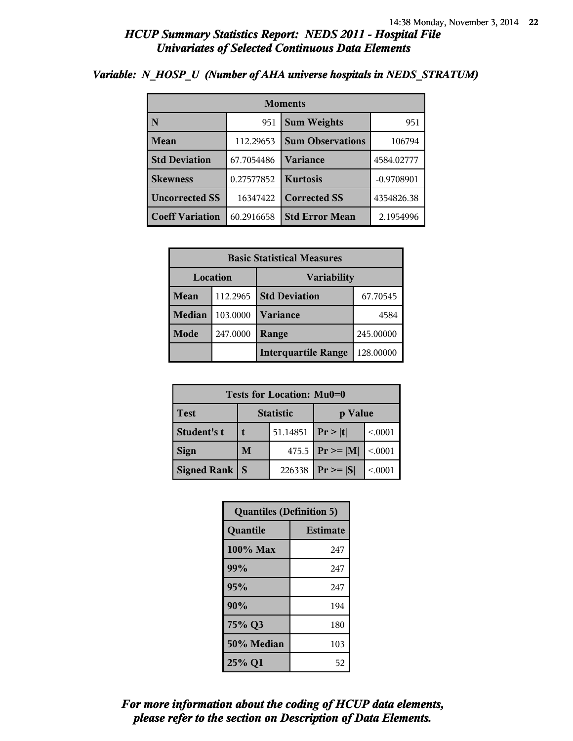| <b>Moments</b>         |            |                         |              |  |
|------------------------|------------|-------------------------|--------------|--|
| N                      | 951        | <b>Sum Weights</b>      | 951          |  |
| Mean                   | 112.29653  | <b>Sum Observations</b> | 106794       |  |
| <b>Std Deviation</b>   | 67.7054486 | Variance                | 4584.02777   |  |
| <b>Skewness</b>        | 0.27577852 | <b>Kurtosis</b>         | $-0.9708901$ |  |
| <b>Uncorrected SS</b>  | 16347422   | <b>Corrected SS</b>     | 4354826.38   |  |
| <b>Coeff Variation</b> | 60.2916658 | <b>Std Error Mean</b>   | 2.1954996    |  |

#### *Variable: N\_HOSP\_U (Number of AHA universe hospitals in NEDS\_STRATUM)*

| <b>Basic Statistical Measures</b> |          |                            |           |  |
|-----------------------------------|----------|----------------------------|-----------|--|
| Location<br><b>Variability</b>    |          |                            |           |  |
| Mean                              | 112.2965 | <b>Std Deviation</b>       | 67.70545  |  |
| <b>Median</b>                     | 103.0000 | <b>Variance</b>            | 4584      |  |
| Mode                              | 247.0000 | Range                      | 245.00000 |  |
|                                   |          | <b>Interquartile Range</b> | 128.00000 |  |

| Tests for Location: Mu0=0 |                             |          |                     |         |  |
|---------------------------|-----------------------------|----------|---------------------|---------|--|
| <b>Test</b>               | <b>Statistic</b><br>p Value |          |                     |         |  |
| Student's t               |                             | 51.14851 | Pr >  t             | < 0001  |  |
| <b>Sign</b>               | M                           |          | 475.5 $ Pr \ge  M $ | < 0.001 |  |
| <b>Signed Rank</b>        | S                           |          | $Pr \geq  S $       | < 0001  |  |

| <b>Quantiles (Definition 5)</b> |                 |  |
|---------------------------------|-----------------|--|
| Quantile                        | <b>Estimate</b> |  |
| 100% Max                        | 247             |  |
| 99%                             | 247             |  |
| 95%                             | 247             |  |
| 90%                             | 194             |  |
| 75% Q3                          | 180             |  |
| 50% Median                      | 103             |  |
| 25% Q1                          | 52              |  |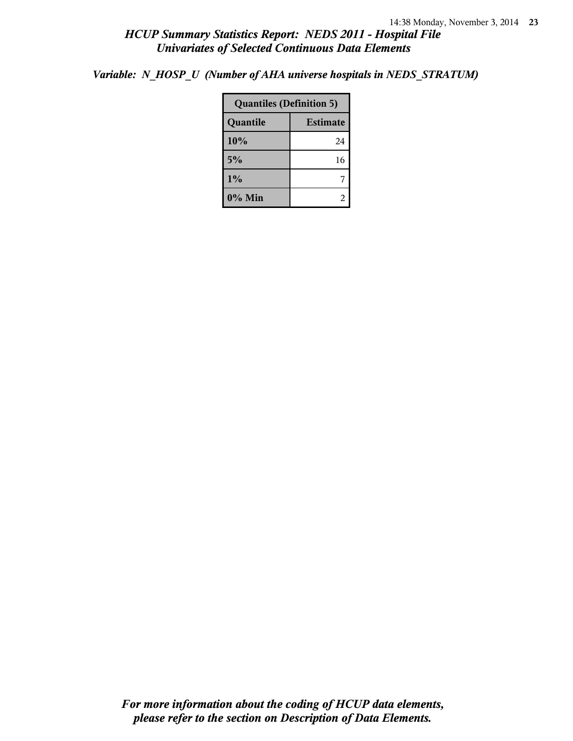*Variable: N\_HOSP\_U (Number of AHA universe hospitals in NEDS\_STRATUM)*

| <b>Quantiles (Definition 5)</b> |    |  |
|---------------------------------|----|--|
| <b>Estimate</b><br>Quantile     |    |  |
| 10%                             | 24 |  |
| 5%                              | 16 |  |
| 1%                              |    |  |
| 0% Min                          |    |  |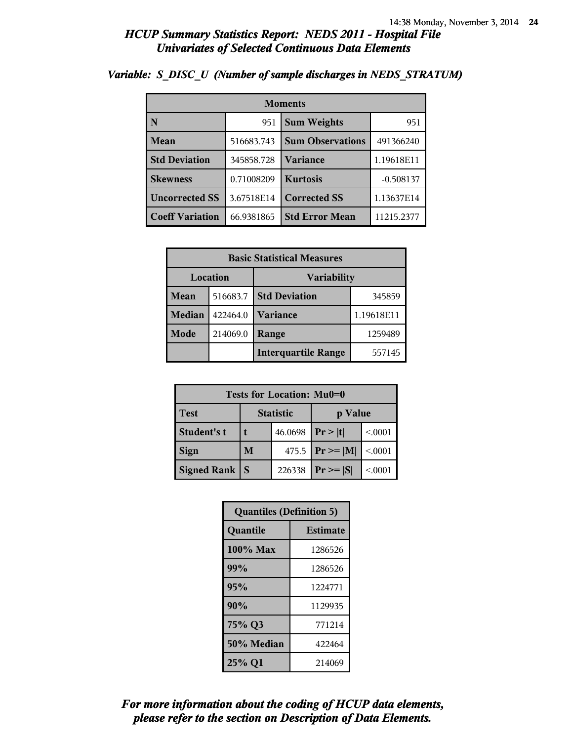| <b>Moments</b>         |            |                         |             |
|------------------------|------------|-------------------------|-------------|
| N                      | 951        | <b>Sum Weights</b>      | 951         |
| Mean                   | 516683.743 | <b>Sum Observations</b> | 491366240   |
| <b>Std Deviation</b>   | 345858.728 | Variance                | 1.19618E11  |
| <b>Skewness</b>        | 0.71008209 | <b>Kurtosis</b>         | $-0.508137$ |
| <b>Uncorrected SS</b>  | 3.67518E14 | <b>Corrected SS</b>     | 1.13637E14  |
| <b>Coeff Variation</b> | 66.9381865 | <b>Std Error Mean</b>   | 11215.2377  |

### *Variable: S\_DISC\_U (Number of sample discharges in NEDS\_STRATUM)*

| <b>Basic Statistical Measures</b> |          |                            |            |  |  |
|-----------------------------------|----------|----------------------------|------------|--|--|
|                                   | Location | <b>Variability</b>         |            |  |  |
| Mean                              | 516683.7 | <b>Std Deviation</b>       | 345859     |  |  |
| <b>Median</b>                     | 422464.0 | <b>Variance</b>            | 1.19618E11 |  |  |
| Mode                              | 214069.0 | Range                      | 1259489    |  |  |
|                                   |          | <b>Interquartile Range</b> | 557145     |  |  |

| Tests for Location: Mu0=0 |                             |        |                     |         |  |  |
|---------------------------|-----------------------------|--------|---------------------|---------|--|--|
| <b>Test</b>               | <b>Statistic</b><br>p Value |        |                     |         |  |  |
| Student's t               | 46.0698                     |        | Pr >  t             | < 0001  |  |  |
| <b>Sign</b>               | M                           |        | 475.5 $ Pr \ge  M $ | < 0.001 |  |  |
| <b>Signed Rank</b>        | -S                          | 226338 | $Pr \geq  S $       | < 0001  |  |  |

| <b>Quantiles (Definition 5)</b> |         |  |  |
|---------------------------------|---------|--|--|
| Quantile<br><b>Estimate</b>     |         |  |  |
| 100% Max                        | 1286526 |  |  |
| 99%                             | 1286526 |  |  |
| 95%                             | 1224771 |  |  |
| 90%                             | 1129935 |  |  |
| 75% Q3                          | 771214  |  |  |
| 50% Median                      | 422464  |  |  |
| 25% Q1                          | 214069  |  |  |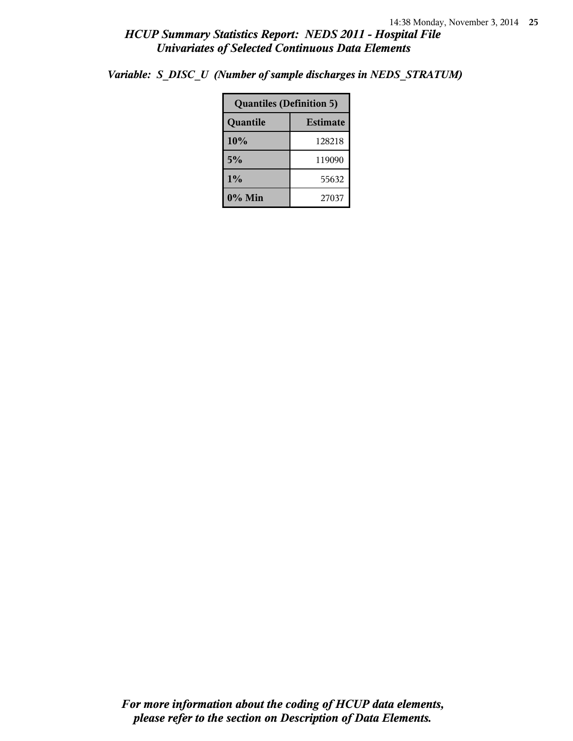| <b>Quantiles (Definition 5)</b> |        |  |
|---------------------------------|--------|--|
| <b>Estimate</b><br>Quantile     |        |  |
| 10%                             | 128218 |  |
| 5%                              | 119090 |  |
| 1%                              | 55632  |  |
| $0\%$ Min                       | 27037  |  |

*Variable: S\_DISC\_U (Number of sample discharges in NEDS\_STRATUM)*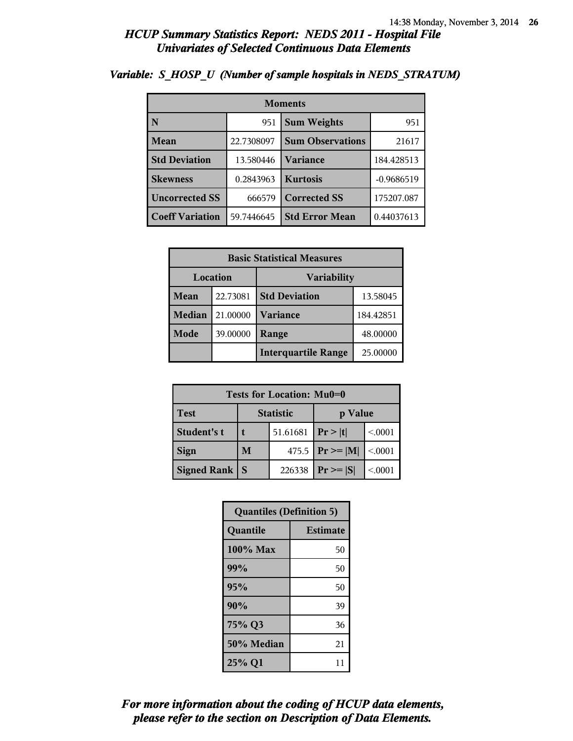| <b>Moments</b>          |            |                         |              |  |  |
|-------------------------|------------|-------------------------|--------------|--|--|
| $\overline{\mathbf{N}}$ | 951        | <b>Sum Weights</b>      | 951          |  |  |
| Mean                    | 22.7308097 | <b>Sum Observations</b> | 21617        |  |  |
| <b>Std Deviation</b>    | 13.580446  | Variance                | 184.428513   |  |  |
| <b>Skewness</b>         | 0.2843963  | <b>Kurtosis</b>         | $-0.9686519$ |  |  |
| <b>Uncorrected SS</b>   | 666579     | <b>Corrected SS</b>     | 175207.087   |  |  |
| <b>Coeff Variation</b>  | 59.7446645 | <b>Std Error Mean</b>   | 0.44037613   |  |  |

### *Variable: S\_HOSP\_U (Number of sample hospitals in NEDS\_STRATUM)*

| <b>Basic Statistical Measures</b> |          |                            |           |  |  |
|-----------------------------------|----------|----------------------------|-----------|--|--|
|                                   | Location | <b>Variability</b>         |           |  |  |
| Mean                              | 22.73081 | <b>Std Deviation</b>       | 13.58045  |  |  |
| <b>Median</b>                     | 21.00000 | <b>Variance</b>            | 184.42851 |  |  |
| Mode                              | 39.00000 | Range                      | 48.00000  |  |  |
|                                   |          | <b>Interquartile Range</b> | 25.00000  |  |  |

| Tests for Location: Mu0=0 |                             |        |                     |         |  |  |
|---------------------------|-----------------------------|--------|---------------------|---------|--|--|
| <b>Test</b>               | <b>Statistic</b><br>p Value |        |                     |         |  |  |
| Student's t               | 51.61681                    |        | Pr >  t             | < 0001  |  |  |
| <b>Sign</b>               | M                           |        | 475.5 $ Pr \ge  M $ | < 0.001 |  |  |
| <b>Signed Rank</b>        |                             | 226338 | $Pr \geq  S $       | < 0001  |  |  |

| <b>Quantiles (Definition 5)</b> |                 |  |
|---------------------------------|-----------------|--|
| Quantile                        | <b>Estimate</b> |  |
| 100% Max                        | 50              |  |
| 99%                             | 50              |  |
| 95%                             | 50              |  |
| 90%                             | 39              |  |
| 75% Q3                          | 36              |  |
| 50% Median                      | 21              |  |
| 25% Q1                          | 11              |  |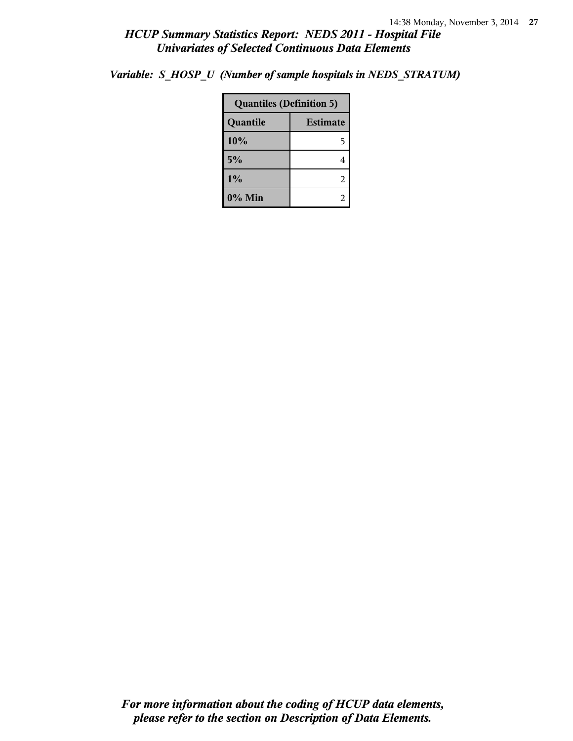*Variable: S\_HOSP\_U (Number of sample hospitals in NEDS\_STRATUM)*

| <b>Quantiles (Definition 5)</b> |   |  |
|---------------------------------|---|--|
| <b>Estimate</b><br>Quantile     |   |  |
| 10%                             | 5 |  |
| 5%                              |   |  |
| 1%                              | 2 |  |
| 0% Min                          |   |  |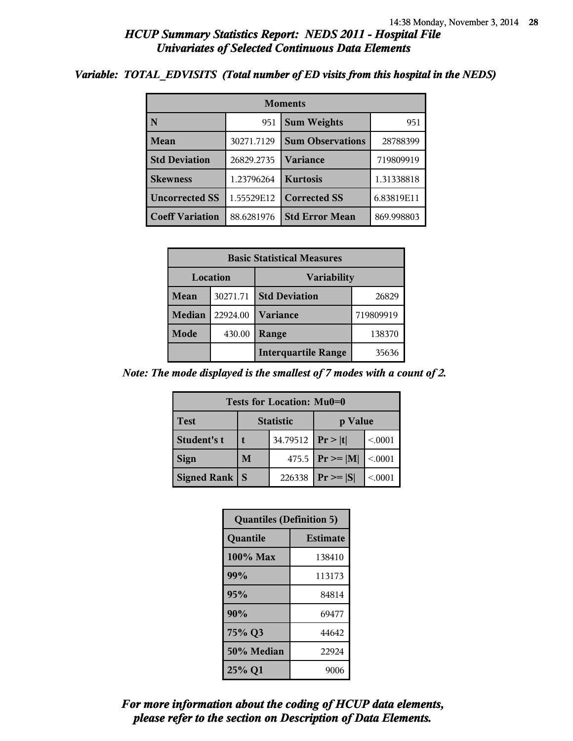#### *Variable: TOTAL\_EDVISITS (Total number of ED visits from this hospital in the NEDS)*

| <b>Moments</b>         |            |                         |            |  |  |
|------------------------|------------|-------------------------|------------|--|--|
| N                      | 951        | <b>Sum Weights</b>      | 951        |  |  |
| Mean                   | 30271.7129 | <b>Sum Observations</b> | 28788399   |  |  |
| <b>Std Deviation</b>   | 26829.2735 | <b>Variance</b>         | 719809919  |  |  |
| <b>Skewness</b>        | 1.23796264 | <b>Kurtosis</b>         | 1.31338818 |  |  |
| <b>Uncorrected SS</b>  | 1.55529E12 | <b>Corrected SS</b>     | 6.83819E11 |  |  |
| <b>Coeff Variation</b> | 88.6281976 | <b>Std Error Mean</b>   | 869.998803 |  |  |

| <b>Basic Statistical Measures</b> |          |                            |           |  |
|-----------------------------------|----------|----------------------------|-----------|--|
| Location<br>Variability           |          |                            |           |  |
| Mean                              | 30271.71 | <b>Std Deviation</b>       | 26829     |  |
| <b>Median</b>                     | 22924.00 | <b>Variance</b>            | 719809919 |  |
| Mode                              | 430.00   | Range                      | 138370    |  |
|                                   |          | <b>Interquartile Range</b> | 35636     |  |

*Note: The mode displayed is the smallest of 7 modes with a count of 2.*

| Tests for Location: Mu0=0 |                             |        |                     |         |  |  |
|---------------------------|-----------------------------|--------|---------------------|---------|--|--|
| <b>Test</b>               | <b>Statistic</b><br>p Value |        |                     |         |  |  |
| Student's t               | 34.79512                    |        | Pr >  t             | < 0.001 |  |  |
| <b>Sign</b>               | M                           |        | 475.5 $ Pr \ge  M $ | < 0.001 |  |  |
| <b>Signed Rank</b>        |                             | 226338 | $Pr \geq  S $       | < 0001  |  |  |

| <b>Quantiles (Definition 5)</b> |                 |
|---------------------------------|-----------------|
| Quantile                        | <b>Estimate</b> |
| 100% Max                        | 138410          |
| 99%                             | 113173          |
| 95%                             | 84814           |
| 90%                             | 69477           |
| 75% Q3                          | 44642           |
| 50% Median                      | 22924           |
| 25% Q1                          | 9006            |